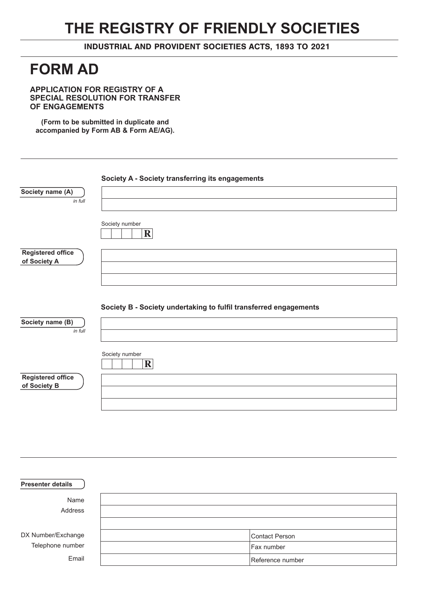# **THE REGISTRY OF FRIENDLY SOCIETIES**

INDUSTRIAL AND PROVIDENT SOCIETIES ACTS, 1893 TO 2021

## **FORM AD**

**APPLICATION FOR REGISTRY OF A SPECIAL RESOLUTION FOR TRANSFER OF ENGAGEMENTS**

**(Form to be submitted in duplicate and accompanied by Form AB & Form AE/AG).**

| Society A - Society transferring its engagements                  |
|-------------------------------------------------------------------|
|                                                                   |
|                                                                   |
| Society number<br>$\mathbf R$                                     |
|                                                                   |
|                                                                   |
|                                                                   |
| Society B - Society undertaking to fulfil transferred engagements |
|                                                                   |
|                                                                   |
| Society number<br>$\mathbf R$                                     |
|                                                                   |
|                                                                   |
|                                                                   |
|                                                                   |

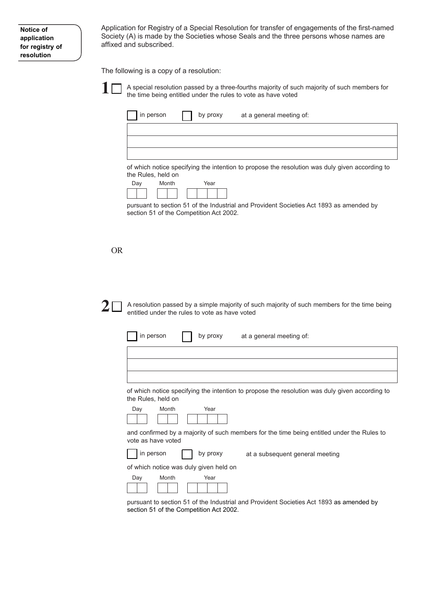Application for Registry of a Special Resolution for transfer of engagements of the first-named Society (A) is made by the Societies whose Seals and the three persons whose names are affixed and subscribed.

The following is a copy of a resolution:



A special resolution passed by a three-fourths majority of such majority of such members for the time being entitled under the rules to vote as have voted

of which notice specifying the intention to propose the resolution was duly given according to the Rules, held on

| Day |  | Month |  |  | Year |  |
|-----|--|-------|--|--|------|--|
|     |  |       |  |  |      |  |

pursuant to section 51 of the Industrial and Provident Societies Act 1893 as amended by section 51 of the Competition Act 2002.

#### OR

**2**

A resolution passed by a simple majority of such majority of such members for the time being entitled under the rules to vote as have voted

| in person | by proxy at a general meeting of: |  |
|-----------|-----------------------------------|--|
|           |                                   |  |
|           |                                   |  |
|           |                                   |  |

of which notice specifying the intention to propose the resolution was duly given according to the Rules, held on





by proxy

and confirmed by a majority of such members for the time being entitled under the Rules to vote as have voted



at a subsequent general meeting

of which notice was duly given held on



pursuant to section 51 of the Industrial and Provident Societies Act 1893 as amended by section 51 of the Competition Act 2002.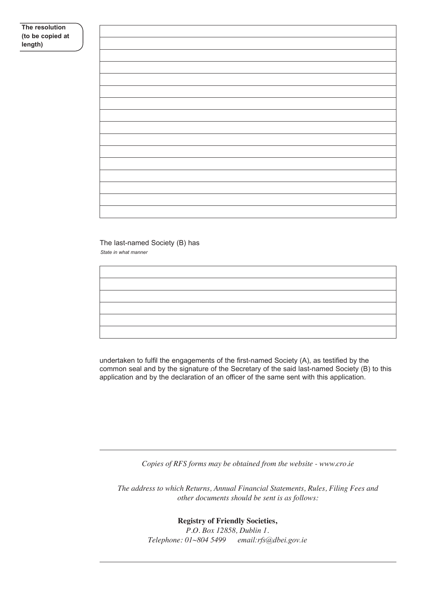### **The resolution (to be copied at length)**

#### *State in what manner* The last-named Society (B) has

undertaken to fulfil the engagements of the first-named Society (A), as testified by the common seal and by the signature of the Secretary of the said last-named Society (B) to this application and by the declaration of an officer of the same sent with this application.

*Copies of RFS forms may be obtained from the website - www.cro.ie*

*The address to which Returns, Annual Financial Statements, Rules, Filing Fees and other documents should be sent is as follows:*

> **Registry of Friendly Societies,** *P.O. Box 12858, Dublin 1. Telephone: 01~804 5499 email:rfs@dbei.gov.ie*